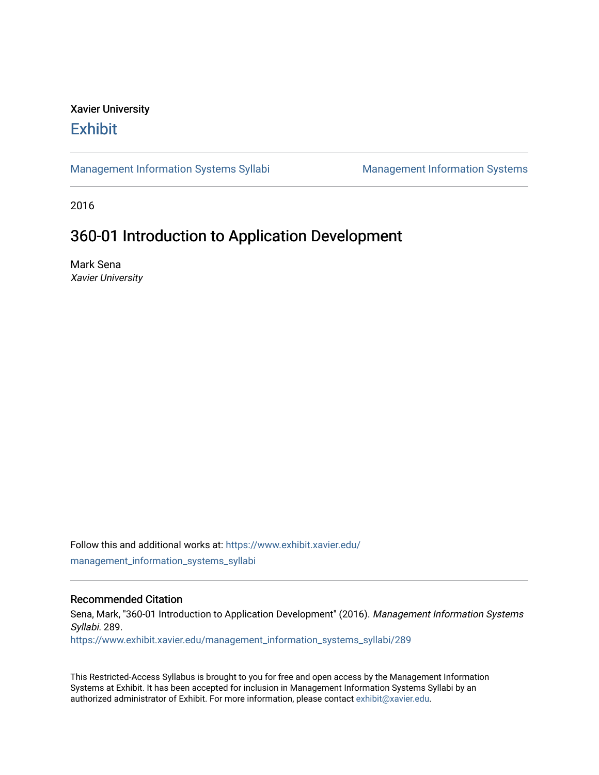## Xavier University **Exhibit**

[Management Information Systems Syllabi](https://www.exhibit.xavier.edu/management_information_systems_syllabi) Management Information Systems

2016

# 360-01 Introduction to Application Development

Mark Sena Xavier University

Follow this and additional works at: [https://www.exhibit.xavier.edu/](https://www.exhibit.xavier.edu/management_information_systems_syllabi?utm_source=www.exhibit.xavier.edu%2Fmanagement_information_systems_syllabi%2F289&utm_medium=PDF&utm_campaign=PDFCoverPages) [management\\_information\\_systems\\_syllabi](https://www.exhibit.xavier.edu/management_information_systems_syllabi?utm_source=www.exhibit.xavier.edu%2Fmanagement_information_systems_syllabi%2F289&utm_medium=PDF&utm_campaign=PDFCoverPages) 

#### Recommended Citation

Sena, Mark, "360-01 Introduction to Application Development" (2016). Management Information Systems Syllabi. 289.

[https://www.exhibit.xavier.edu/management\\_information\\_systems\\_syllabi/289](https://www.exhibit.xavier.edu/management_information_systems_syllabi/289?utm_source=www.exhibit.xavier.edu%2Fmanagement_information_systems_syllabi%2F289&utm_medium=PDF&utm_campaign=PDFCoverPages) 

This Restricted-Access Syllabus is brought to you for free and open access by the Management Information Systems at Exhibit. It has been accepted for inclusion in Management Information Systems Syllabi by an authorized administrator of Exhibit. For more information, please contact [exhibit@xavier.edu](mailto:exhibit@xavier.edu).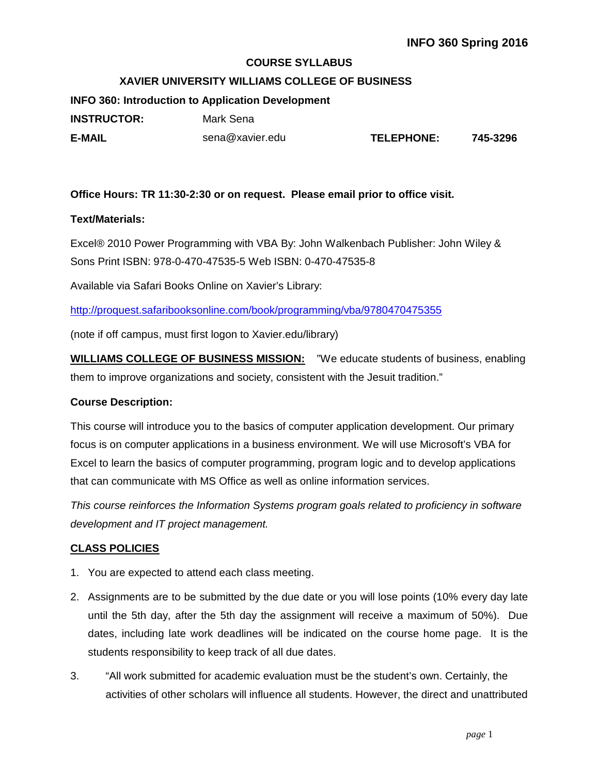#### **COURSE SYLLABUS**

#### **XAVIER UNIVERSITY WILLIAMS COLLEGE OF BUSINESS**

**INFO 360: Introduction to Application Development INSTRUCTOR:** Mark Sena **E-MAIL** sena@xavier.edu **TELEPHONE: 745-3296**

#### **Office Hours: TR 11:30-2:30 or on request. Please email prior to office visit.**

#### **Text/Materials:**

Excel® 2010 Power Programming with VBA By: John Walkenbach Publisher: John Wiley & Sons Print ISBN: 978-0-470-47535-5 Web ISBN: 0-470-47535-8

Available via Safari Books Online on Xavier's Library:

<http://proquest.safaribooksonline.com/book/programming/vba/9780470475355>

(note if off campus, must first logon to Xavier.edu/library)

**WILLIAMS COLLEGE OF BUSINESS MISSION:** "We educate students of business, enabling them to improve organizations and society, consistent with the Jesuit tradition."

#### **Course Description:**

This course will introduce you to the basics of computer application development. Our primary focus is on computer applications in a business environment. We will use Microsoft's VBA for Excel to learn the basics of computer programming, program logic and to develop applications that can communicate with MS Office as well as online information services.

*This course reinforces the Information Systems program goals related to proficiency in software development and IT project management.*

#### **CLASS POLICIES**

- 1. You are expected to attend each class meeting.
- 2. Assignments are to be submitted by the due date or you will lose points (10% every day late until the 5th day, after the 5th day the assignment will receive a maximum of 50%). Due dates, including late work deadlines will be indicated on the course home page. It is the students responsibility to keep track of all due dates.
- 3. "All work submitted for academic evaluation must be the student's own. Certainly, the activities of other scholars will influence all students. However, the direct and unattributed